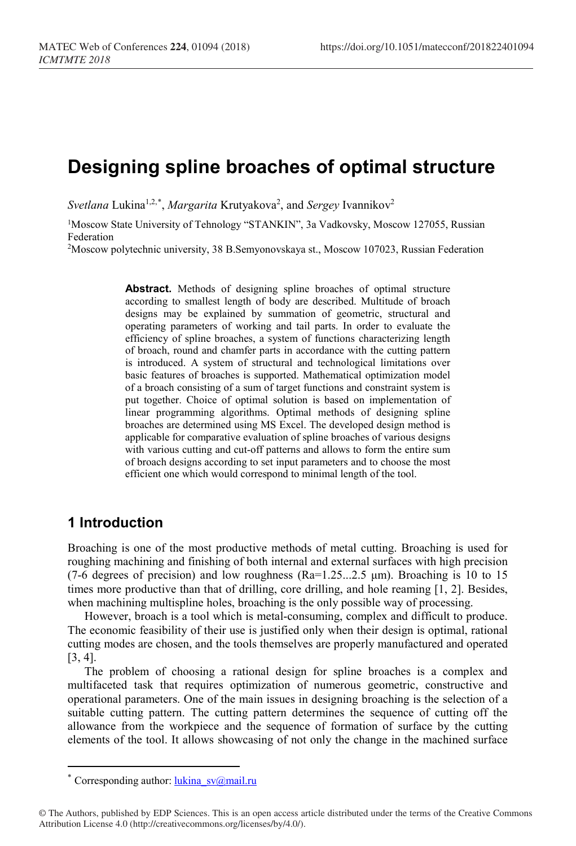# **Designing spline broaches of optimal structure**

 $Svetlana Lukina<sup>1,2,*</sup>, Margarita Krutyakova<sup>2</sup>, and *Sergey* Ivannikov<sup>2</sup>$  $Svetlana Lukina<sup>1,2,*</sup>, Margarita Krutyakova<sup>2</sup>, and *Sergey* Ivannikov<sup>2</sup>$  $Svetlana Lukina<sup>1,2,*</sup>, Margarita Krutyakova<sup>2</sup>, and *Sergey* Ivannikov<sup>2</sup>$ 

<sup>1</sup>Moscow State University of Tehnology "STANKIN", 3a Vadkovsky, Moscow 127055, Russian Federation

2Moscow polytechnic university, 38 B.Semyonovskaya st., Moscow 107023, Russian Federation

**Abstract.** Methods of designing spline broaches of optimal structure according to smallest length of body are described. Multitude of broach designs may be explained by summation of geometric, structural and operating parameters of working and tail parts. In order to evaluate the efficiency of spline broaches, a system of functions characterizing length of broach, round and chamfer parts in accordance with the cutting pattern is introduced. A system of structural and technological limitations over basic features of broaches is supported. Mathematical optimization model of a broach consisting of a sum of target functions and constraint system is put together. Choice of optimal solution is based on implementation of linear programming algorithms. Optimal methods of designing spline broaches are determined using MS Excel. The developed design method is applicable for comparative evaluation of spline broaches of various designs with various cutting and cut-off patterns and allows to form the entire sum of broach designs according to set input parameters and to choose the most efficient one which would correspond to minimal length of the tool.

#### **1 Introduction**

 $\overline{a}$ 

Broaching is one of the most productive methods of metal cutting. Broaching is used for roughing machining and finishing of both internal and external surfaces with high precision (7-6 degrees of precision) and low roughness ( $Ra=1.25...2.5 \mu m$ ). Broaching is 10 to 15 times more productive than that of drilling, core drilling, and hole reaming [1, 2]. Besides, when machining multispline holes, broaching is the only possible way of processing.

However, broach is a tool which is metal-consuming, complex and difficult to produce. The economic feasibility of their use is justified only when their design is optimal, rational cutting modes are chosen, and the tools themselves are properly manufactured and operated [3, 4].

The problem of choosing a rational design for spline broaches is a complex and multifaceted task that requires optimization of numerous geometric, constructive and operational parameters. One of the main issues in designing broaching is the selection of a suitable cutting pattern. The cutting pattern determines the sequence of cutting off the allowance from the workpiece and the sequence of formation of surface by the cutting elements of the tool. It allows showcasing of not only the change in the machined surface

Corresponding author:  $\frac{\text{lukina}}{\text{sva}}$  sv $\textcircled{a}$ mail.ru

<span id="page-0-0"></span><sup>©</sup> The Authors, published by EDP Sciences. This is an open access article distributed under the terms of the Creative Commons Attribution License 4.0 (http://creativecommons.org/licenses/by/4.0/).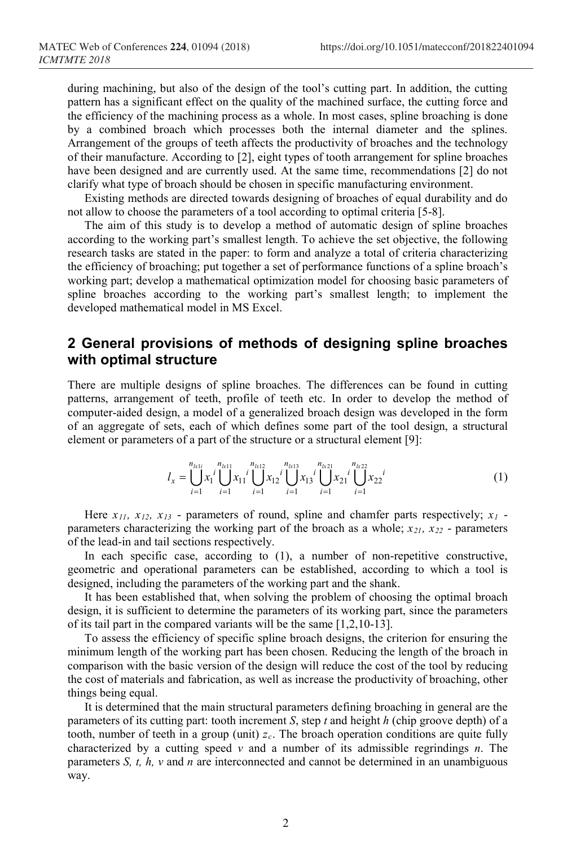during machining, but also of the design of the tool's cutting part. In addition, the cutting pattern has a significant effect on the quality of the machined surface, the cutting force and the efficiency of the machining process as a whole. In most cases, spline broaching is done by a combined broach which processes both the internal diameter and the splines. Arrangement of the groups of teeth affects the productivity of broaches and the technology of their manufacture. According to [2], eight types of tooth arrangement for spline broaches have been designed and are currently used. At the same time, recommendations [2] do not clarify what type of broach should be chosen in specific manufacturing environment.

Existing methods are directed towards designing of broaches of equal durability and do not allow to choose the parameters of a tool according to optimal criteria [5-8].

The aim of this study is to develop a method of automatic design of spline broaches according to the working part's smallest length. To achieve the set objective, the following research tasks are stated in the paper: to form and analyze a total of criteria characterizing the efficiency of broaching; put together a set of performance functions of a spline broach's working part; develop a mathematical optimization model for choosing basic parameters of spline broaches according to the working part's smallest length; to implement the developed mathematical model in MS Excel.

### **2 General provisions of methods of designing spline broaches with optimal structure**

There are multiple designs of spline broaches. The differences can be found in cutting patterns, arrangement of teeth, profile of teeth etc. In order to develop the method of computer-aided design, a model of a generalized broach design was developed in the form of an aggregate of sets, each of which defines some part of the tool design, a structural element or parameters of a part of the structure or a structural element [9]:

$$
l_x = \bigcup_{i=1}^{n_{k1}} x_i \bigcup_{i=1}^{n_{k1}} x_{i1} \bigcup_{i=1}^{n_{k12}} x_{i2} \bigcup_{i=1}^{n_{k13}} x_{i3} \bigcup_{i=1}^{n_{k21}} x_{i2} \bigcup_{i=1}^{n_{k22}} x_{i3} \bigcup_{i=1}^{n_{k32}} x_{i4} \bigcup_{i=1}^{n_{k43}} x_{i4} \bigcup_{i=1}^{n_{k54}} x_{i4} \bigcup_{i=1}^{n_{k64}} x_{i4} \bigcup_{i=1}^{n_{k7}} x_{i4} \bigcup_{i=1}^{n_{k7}} x_{i4} \bigcup_{i=1}^{n_{k7}} x_{i4} \bigcup_{i=1}^{n_{k7}} x_{i4} \bigcup_{i=1}^{n_{k7}} x_{i4} \bigcup_{i=1}^{n_{k7}} x_{i4} \bigcup_{i=1}^{n_{k7}} x_{i4} \bigcup_{i=1}^{n_{k7}} x_{i4} \bigcup_{i=1}^{n_{k7}} x_{i4} \bigcup_{i=1}^{n_{k7}} x_{i4} \bigcup_{i=1}^{n_{k7}} x_{i4} \bigcup_{i=1}^{n_{k7}} x_{i5} \bigcup_{i=1}^{n_{k7}} x_{i5} \bigcup_{i=1}^{n_{k7}} x_{i5} \bigcup_{i=1}^{n_{k7}} x_{i5} \bigcup_{i=1}^{n_{k7}} x_{i5} \bigcup_{i=1}^{n_{k7}} x_{i5} \bigcup_{i=1}^{n_{k7}} x_{i6} \bigcup_{i=1}^{n_{k7}} x_{i7} \bigcup_{i=1}^{n_{k7}} x_{i7} \bigcup_{i=1}^{n_{k7}} x_{i8} \bigcup_{i=1}^{n_{k7}} x_{i9} \bigcup_{i=1}^{n_{k7}} x_{i1} \bigcup_{i=1}^{n_{k7}} x_{i5} \bigcup_{i=1}^{n_{k7}} x_{i5} \bigcup_{i=1}^{n_{k7}} x_{i6} \bigcup_{i=1}^{n_{k7}} x_{i7} \bigcup_{i=1}^{n_{k7}} x_{i8} \bigcup_{i=1}^{n_{k7}} x_{i7} \bigcup_{i=1}^{n
$$

Here  $x_{11}$ ,  $x_{12}$ ,  $x_{13}$  - parameters of round, spline and chamfer parts respectively;  $x_1$  parameters characterizing the working part of the broach as a whole;  $x_{21}$ ,  $x_{22}$  - parameters of the lead-in and tail sections respectively.

In each specific case, according to (1), a number of non-repetitive constructive, geometric and operational parameters can be established, according to which a tool is designed, including the parameters of the working part and the shank.

It has been established that, when solving the problem of choosing the optimal broach design, it is sufficient to determine the parameters of its working part, since the parameters of its tail part in the compared variants will be the same [1,2,10-13].

To assess the efficiency of specific spline broach designs, the criterion for ensuring the minimum length of the working part has been chosen. Reducing the length of the broach in comparison with the basic version of the design will reduce the cost of the tool by reducing the cost of materials and fabrication, as well as increase the productivity of broaching, other things being equal.

It is determined that the main structural parameters defining broaching in general are the parameters of its cutting part: tooth increment *S*, step *t* and height *h* (chip groove depth) of a tooth, number of teeth in a group (unit)  $z_c$ . The broach operation conditions are quite fully characterized by a cutting speed *v* and a number of its admissible regrindings *n*. The parameters *S, t, h, v* and *n* are interconnected and cannot be determined in an unambiguous way.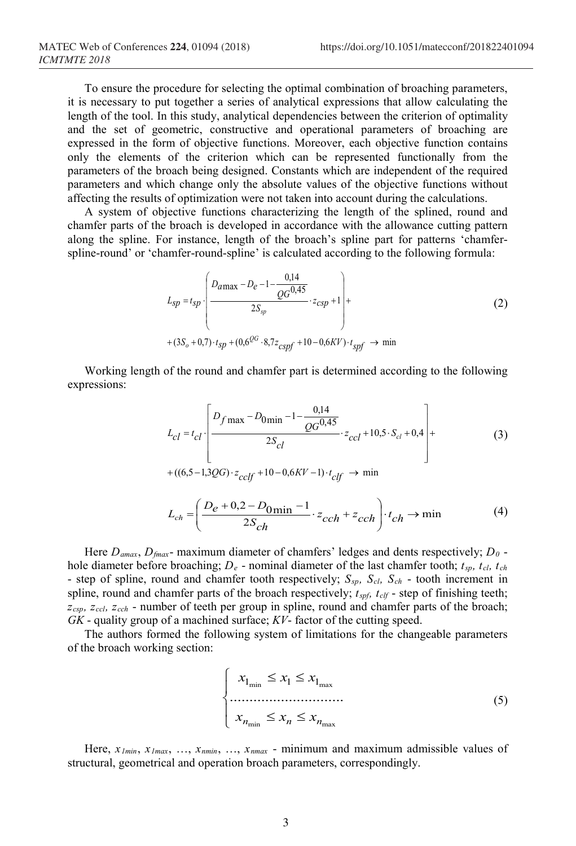To ensure the procedure for selecting the optimal combination of broaching parameters, it is necessary to put together a series of analytical expressions that allow calculating the length of the tool. In this study, analytical dependencies between the criterion of optimality and the set of geometric, constructive and operational parameters of broaching are expressed in the form of objective functions. Moreover, each objective function contains only the elements of the criterion which can be represented functionally from the parameters of the broach being designed. Constants which are independent of the required parameters and which change only the absolute values of the objective functions without affecting the results of optimization were not taken into account during the calculations.

A system of objective functions characterizing the length of the splined, round and chamfer parts of the broach is developed in accordance with the allowance cutting pattern along the spline. For instance, length of the broach's spline part for patterns 'chamferspline-round' or 'chamfer-round-spline' is calculated according to the following formula:

$$
L_{sp} = t_{sp} \cdot \left( \frac{D_{a \max} - D_e - 1 - \frac{0.14}{QG^{0.45}}}{2S_{sp}} \cdot z_{csp} + 1 \right) +
$$
  
+ 
$$
(3S_o + 0.7) \cdot t_{sp} + (0.6^{QG} \cdot 8.7z_{cspf} + 10 - 0.6KV) \cdot t_{spf} \rightarrow \min
$$

Working length of the round and chamfer part is determined according to the following expressions:

$$
L_{cl} = t_{cl} \left[ \frac{D_{f \max} - D_{0 \min} - 1 - \frac{0.14}{QG^{0.45}}}{2S_{cl}} \cdot z_{ccl} + 10.5 \cdot S_{cl} + 0.4 \right] + \frac{2S_{cl}}{(3)}
$$
  
+((6.5 - 1.3QG) \cdot z\_{cclf} + 10 - 0.6KV - 1) \cdot t\_{clf} \rightarrow min

$$
L_{ch} = \left(\frac{D_e + 0.2 - D_{0\text{min}} - 1}{2S_{ch}} \cdot z_{cch} + z_{cch}\right) \cdot t_{ch} \to \min
$$
 (4)

Here *Damax*, *Dfmax*- maximum diameter of chamfers' ledges and dents respectively; *D0* hole diameter before broaching;  $D_e$  - nominal diameter of the last chamfer tooth;  $t_{sp}$ ,  $t_{cl}$ ,  $t_{ch}$ - step of spline, round and chamfer tooth respectively; *Ssp, Scl, Sch* - tooth increment in spline, round and chamfer parts of the broach respectively;  $t_{spf}$ ,  $t_{clf}$  - step of finishing teeth; *zcsp, zccl, zcch* - number of teeth per group in spline, round and chamfer parts of the broach; *GK* - quality group of a machined surface; *KV*- factor of the cutting speed.

The authors formed the following system of limitations for the changeable parameters of the broach working section:

$$
\begin{cases}\n x_{1_{\min}} \le x_1 \le x_{1_{\max}} \\
\dots \\
x_{n_{\min}} \le x_n \le x_{n_{\max}}\n\end{cases}
$$
\n(5)

Here, *x1min*, *x1max*, …, *xnmin*, …, *xnmax* - minimum and maximum admissible values of structural, geometrical and operation broach parameters, correspondingly.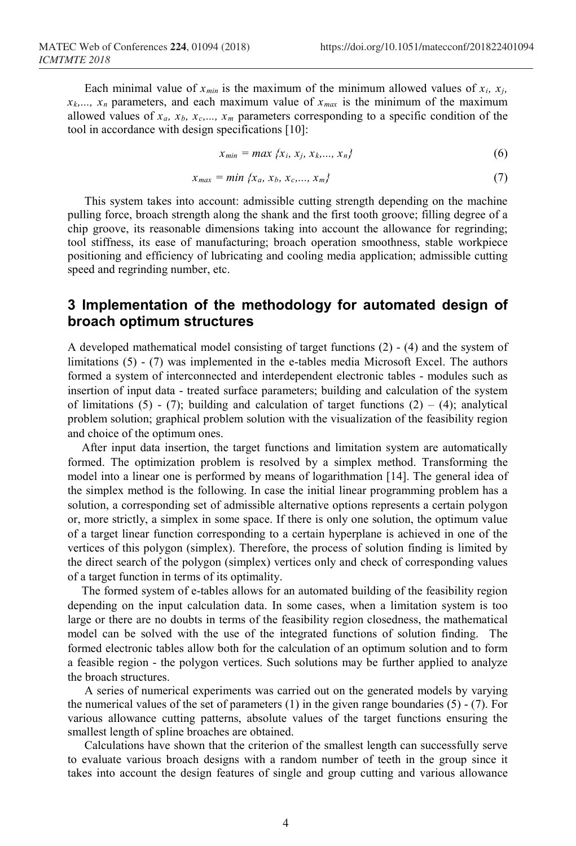Each minimal value of  $x_{min}$  is the maximum of the minimum allowed values of  $x_i$ ,  $x_j$ ,  $x_k$ ,...,  $x_n$  parameters, and each maximum value of  $x_{max}$  is the minimum of the maximum allowed values of  $x_a$ ,  $x_b$ ,  $x_c$ ,...,  $x_m$  parameters corresponding to a specific condition of the tool in accordance with design specifications [10]:

$$
x_{min} = max \{x_i, x_j, x_k, ..., x_n\}
$$
 (6)

$$
x_{max} = min \{x_a, x_b, x_c, ..., x_m\}
$$
 (7)

This system takes into account: admissible cutting strength depending on the machine pulling force, broach strength along the shank and the first tooth groove; filling degree of a chip groove, its reasonable dimensions taking into account the allowance for regrinding; tool stiffness, its ease of manufacturing; broach operation smoothness, stable workpiece positioning and efficiency of lubricating and cooling media application; admissible cutting speed and regrinding number, etc.

## **3 Implementation of the methodology for automated design of broach optimum structures**

A developed mathematical model consisting of target functions (2) - (4) and the system of limitations (5) - (7) was implemented in the e-tables media Microsoft Excel. The authors formed a system of interconnected and interdependent electronic tables - modules such as insertion of input data - treated surface parameters; building and calculation of the system of limitations (5) - (7); building and calculation of target functions (2) – (4); analytical problem solution; graphical problem solution with the visualization of the feasibility region and choice of the optimum ones.

After input data insertion, the target functions and limitation system are automatically formed. The optimization problem is resolved by a simplex method. Transforming the model into a linear one is performed by means of logarithmation [14]. The general idea of the simplex method is the following. In case the initial linear programming problem has a solution, a corresponding set of admissible alternative options represents a certain polygon or, more strictly, a simplex in some space. If there is only one solution, the optimum value of a target linear function corresponding to a certain hyperplane is achieved in one of the vertices of this polygon (simplex). Therefore, the process of solution finding is limited by the direct search of the polygon (simplex) vertices only and check of corresponding values of a target function in terms of its optimality.

The formed system of e-tables allows for an automated building of the feasibility region depending on the input calculation data. In some cases, when a limitation system is too large or there are no doubts in terms of the feasibility region closedness, the mathematical model can be solved with the use of the integrated functions of solution finding. The formed electronic tables allow both for the calculation of an optimum solution and to form a feasible region - the polygon vertices. Such solutions may be further applied to analyze the broach structures.

A series of numerical experiments was carried out on the generated models by varying the numerical values of the set of parameters  $(1)$  in the given range boundaries  $(5)$  -  $(7)$ . For various allowance cutting patterns, absolute values of the target functions ensuring the smallest length of spline broaches are obtained.

Calculations have shown that the criterion of the smallest length can successfully serve to evaluate various broach designs with a random number of teeth in the group since it takes into account the design features of single and group cutting and various allowance